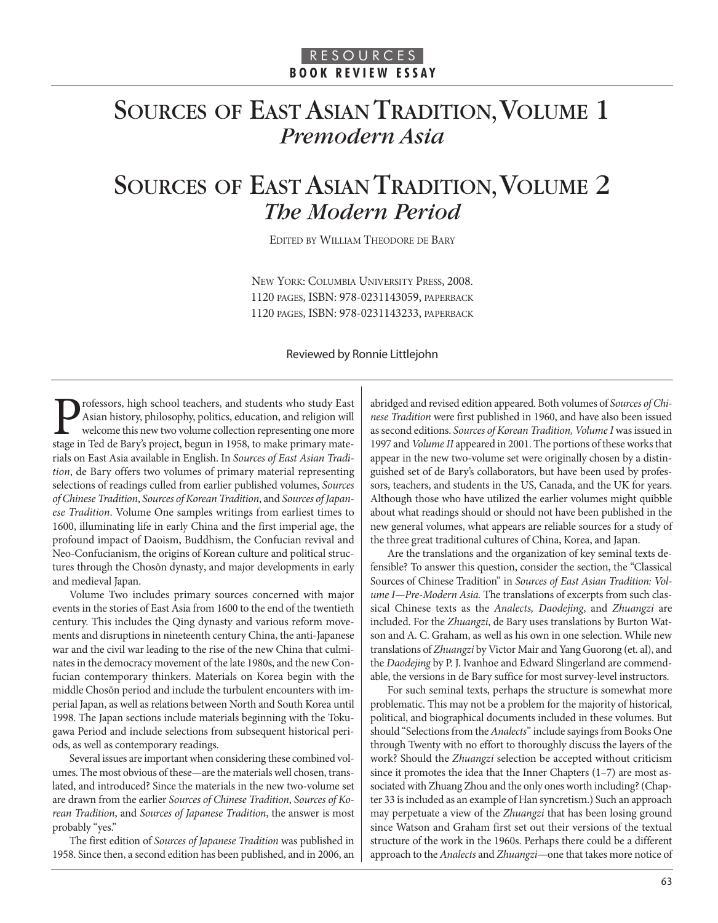## SOURCES OF EAST ASIAN TRADITION, VOLUME 1 *Premodern Asia*

## SOURCES OF EAST ASIAN TRADITION, VOLUME 2 *The Modern Period*

EDITED BY WILLIAM THEODORE DE BARY

NEW YORK: COLUMBIA UNIVERSITY PRESS, 2008. 1120 PAGES, ISBN: 978-0231143059, PAPERBACK 1120 PAGES, ISBN: 978-0231143233, PAPERBACK

#### Reviewed by Ronnie Littlejohn

**Professors, high school teachers, and students who study East** Asian history, philosophy, politics, education, and religion will welcome this new two volume collection representing one more stage in Ted de Barv's project, Asian history, philosophy, politics, education, and religion will welcome this new two volume collection representing one more stage in Ted de Bary's project, begun in 1958, to make primary materials on East Asia available in English. In Sources of East Asian Tradition, de Bary offers two volumes of primary material representing selections of readings culled from earlier published volumes, Sources of Chinese Tradition, Sources of Korean Tradition, and Sources of Japanese Tradition. Volume One samples writings from earliest times to 1600, illuminating life in early China and the first imperial age, the profound impact of Daoism, Buddhism, the Confucian revival and Neo-Confucianism, the origins of Korean culture and political structures through the Chosŏn dynasty, and major developments in early and medieval Japan.

Volume Two includes primary sources concerned with major events in the stories of East Asia from 1600 to the end of the twentieth century. This includes the Qing dynasty and various reform movements and disruptions in nineteenth century China, the anti-Japanese war and the civil war leading to the rise of the new China that culminates in the democracy movement of the late 1980s, and the new Confucian contemporary thinkers. Materials on Korea begin with the middle Chosŏn period and include the turbulent encounters with imperial Japan, as well as relations between North and South Korea until 1998. The Japan sections include materials beginning with the Tokugawa Period and include selections from subsequent historical periods, as well as contemporary readings.

Several issues are important when considering these combined volumes. The most obvious of these—are the materials well chosen, translated, and introduced? Since the materials in the new two-volume set are drawn from the earlier Sources of Chinese Tradition, Sources of Korean Tradition, and Sources of Japanese Tradition, the answer is most probably "yes."

The first edition of Sources of Japanese Tradition was published in 1958. Since then, a second edition has been published, and in 2006, an abridged and revised edition appeared. Both volumes of Sources of Chinese Tradition were first published in 1960, and have also been issued as second editions. Sources of Korean Tradition, Volume I was issued in 1997 and Volume II appeared in 2001. The portions of these works that appear in the new two-volume set were originally chosen by a distinguished set of de Bary's collaborators, but have been used by professors, teachers, and students in the US, Canada, and the UK for years. Although those who have utilized the earlier volumes might quibble about what readings should or should not have been published in the new general volumes, what appears are reliable sources for a study of the three great traditional cultures of China, Korea, and Japan.

Are the translations and the organization of key seminal texts defensible? To answer this question, consider the section, the "Classical Sources of Chinese Tradition" in Sources of East Asian Tradition: Volume I-Pre-Modern Asia. The translations of excerpts from such classical Chinese texts as the Analects, Daodejing, and Zhuangzi are included. For the Zhuangzi, de Bary uses translations by Burton Watson and A. C. Graham, as well as his own in one selection. While new translations of Zhuangzi by Victor Mair and Yang Guorong (et. al), and the Daodejing by P. J. Ivanhoe and Edward Slingerland are commendable, the versions in de Bary suffice for most survey-level instructors.

For such seminal texts, perhaps the structure is somewhat more problematic. This may not be a problem for the majority of historical, political, and biographical documents included in these volumes. But should "Selections from the Analects" include sayings from Books One through Twenty with no effort to thoroughly discuss the layers of the work? Should the Zhuangzi selection be accepted without criticism since it promotes the idea that the Inner Chapters (1–7) are most associated with Zhuang Zhou and the only ones worth including? (Chapter 33 is included as an example of Han syncretism.) Such an approach may perpetuate a view of the Zhuangzi that has been losing ground since Watson and Graham first set out their versions of the textual structure of the work in the 1960s. Perhaps there could be a different approach to the Analects and Zhuangzi-one that takes more notice of